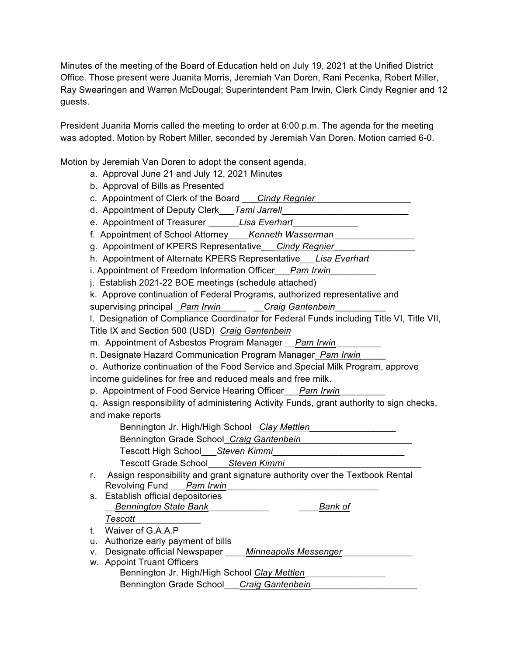Minutes of the meeting of the Board of Education held on July 19, 2021 at the Unified District Office. Those present were Juanita Morris, Jeremiah Van Doren, Rani Pecenka, Robert Miller, Ray Swearingen and Warren McDougal; Superintendent Pam Irwin, Clerk Cindy Regnier and 12 guests.

President Juanita Morris called the meeting to order at 6:00 p.m. The agenda for the meeting was adopted. Motion by Robert Miller, seconded by Jeremiah Van Doren. Motion carried 6-0.

Motion by Jeremiah Van Doren to adopt the consent agenda,

- a. Approval June 21 and July 12, 2021 Minutes
- b. Approval of Bills as Presented
- c. Appointment of Clerk of the Board \_\_\_*Cindy Regnier*\_\_\_\_\_\_\_\_\_\_\_\_\_\_\_\_\_\_\_
- d. Appointment of Deputy Clerk\_\_\_*Tami Jarrell*\_\_\_\_\_\_\_\_\_\_\_\_\_\_\_\_\_\_\_\_\_\_\_\_\_
- e. Appointment of Treasurer *Lisa Everhart*
- f. Appointment of School Attorney\_\_\_\_*Kenneth Wasserman*\_\_\_\_\_\_\_\_\_\_\_\_\_\_\_\_
- g. Appointment of KPERS Representative\_\_\_*Cindy Regnier*\_\_\_\_\_\_\_\_\_\_\_\_\_\_\_\_
- h. Appointment of Alternate KPERS Representative\_\_\_*Lisa Everhart*
- i. Appointment of Freedom Information Officer Pam Irwin
- j. Establish 2021-22 BOE meetings (schedule attached)
- k. Approve continuation of Federal Programs, authorized representative and

supervising principal \_*Pam Irwin*\_\_\_\_\_ \_\_*Craig Gantenbein*\_\_\_\_\_\_\_\_\_\_

l. Designation of Compliance Coordinator for Federal Funds including Title VI, Title VII, Title IX and Section 500 (USD) *Craig Gantenbein*

m. Appointment of Asbestos Program Manager \_\_*Pam Irwin*\_\_\_\_\_\_\_\_\_

n. Designate Hazard Communication Program Manager\_*Pam Irwin*\_\_\_\_\_

o. Authorize continuation of the Food Service and Special Milk Program, approve income guidelines for free and reduced meals and free milk.

p. Appointment of Food Service Hearing Officer\_\_\_*Pam Irwin*\_\_\_\_\_\_\_\_\_

q. Assign responsibility of administering Activity Funds, grant authority to sign checks, and make reports

Bennington Jr. High/High School *Clay Mettlen*\_\_\_\_\_\_\_\_\_\_\_\_\_\_\_\_\_

Bennington Grade School\_*Craig Gantenbein*\_\_\_\_\_\_\_\_\_\_\_\_\_\_\_\_\_\_\_\_\_\_

Tescott High School\_\_\_*Steven Kimmi*\_\_\_\_\_\_\_\_\_\_\_\_\_\_\_\_\_\_\_\_\_\_\_\_\_\_

Tescott Grade School\_\_\_\_*Steven Kimmi*\_\_\_\_\_\_\_\_\_\_\_\_\_\_\_\_\_\_\_\_\_\_\_\_\_\_\_

- r. Assign responsibility and grant signature authority over the Textbook Rental Revolving Fund Pam Irwin
- s. Establish official depositories \_\_*Bennington State Bank*\_\_\_\_\_\_\_\_\_\_\_\_ \_\_\_\_*Bank of*

*Tescott*\_\_\_\_\_\_\_\_\_\_\_\_\_ t. Waiver of G.A.A.P

u. Authorize early payment of bills

- v. Designate official Newspaper \_\_\_\_*Minneapolis Messenger*\_\_\_\_\_\_\_\_\_\_\_\_\_\_
- w. Appoint Truant Officers
	- Bennington Jr. High/High School *Clay Mettlen*\_\_\_\_\_\_\_\_\_\_\_\_\_\_\_\_ Bennington Grade School\_\_\_*Craig Gantenbein*\_\_\_\_\_\_\_\_\_\_\_\_\_\_\_\_\_\_\_\_\_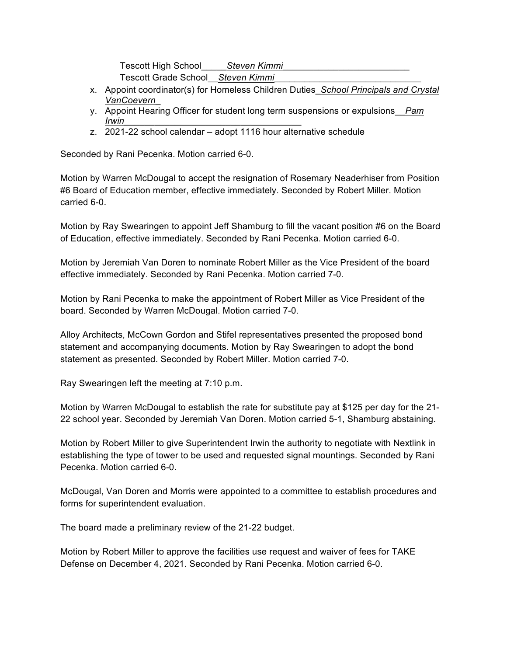Tescott High School\_\_\_\_\_*Steven Kimmi*\_\_\_\_\_\_\_\_\_\_\_\_\_\_\_\_\_\_\_\_\_\_\_\_\_ Tescott Grade School\_\_*Steven Kimmi*\_\_\_\_\_\_\_\_\_\_\_\_\_\_\_\_\_\_\_\_\_\_\_\_\_\_\_\_\_

- x. Appoint coordinator(s) for Homeless Children Duties\_*School Principals and Crystal VanCoevern*\_
- y. Appoint Hearing Officer for student long term suspensions or expulsions\_\_*Pam Irwin*\_\_\_\_\_\_\_\_\_\_\_\_\_\_\_\_\_\_\_\_\_\_\_\_\_\_\_\_\_\_\_\_\_\_\_
- z. 2021-22 school calendar adopt 1116 hour alternative schedule

Seconded by Rani Pecenka. Motion carried 6-0.

Motion by Warren McDougal to accept the resignation of Rosemary Neaderhiser from Position #6 Board of Education member, effective immediately. Seconded by Robert Miller. Motion carried 6-0.

Motion by Ray Swearingen to appoint Jeff Shamburg to fill the vacant position #6 on the Board of Education, effective immediately. Seconded by Rani Pecenka. Motion carried 6-0.

Motion by Jeremiah Van Doren to nominate Robert Miller as the Vice President of the board effective immediately. Seconded by Rani Pecenka. Motion carried 7-0.

Motion by Rani Pecenka to make the appointment of Robert Miller as Vice President of the board. Seconded by Warren McDougal. Motion carried 7-0.

Alloy Architects, McCown Gordon and Stifel representatives presented the proposed bond statement and accompanying documents. Motion by Ray Swearingen to adopt the bond statement as presented. Seconded by Robert Miller. Motion carried 7-0.

Ray Swearingen left the meeting at 7:10 p.m.

Motion by Warren McDougal to establish the rate for substitute pay at \$125 per day for the 21- 22 school year. Seconded by Jeremiah Van Doren. Motion carried 5-1, Shamburg abstaining.

Motion by Robert Miller to give Superintendent Irwin the authority to negotiate with Nextlink in establishing the type of tower to be used and requested signal mountings. Seconded by Rani Pecenka. Motion carried 6-0.

McDougal, Van Doren and Morris were appointed to a committee to establish procedures and forms for superintendent evaluation.

The board made a preliminary review of the 21-22 budget.

Motion by Robert Miller to approve the facilities use request and waiver of fees for TAKE Defense on December 4, 2021. Seconded by Rani Pecenka. Motion carried 6-0.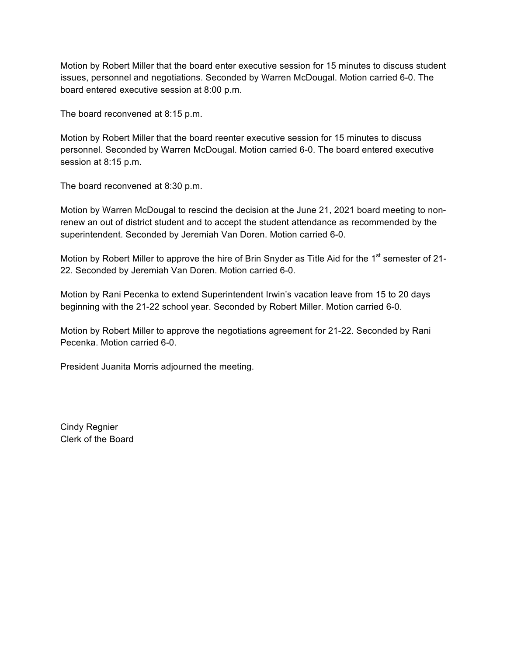Motion by Robert Miller that the board enter executive session for 15 minutes to discuss student issues, personnel and negotiations. Seconded by Warren McDougal. Motion carried 6-0. The board entered executive session at 8:00 p.m.

The board reconvened at 8:15 p.m.

Motion by Robert Miller that the board reenter executive session for 15 minutes to discuss personnel. Seconded by Warren McDougal. Motion carried 6-0. The board entered executive session at 8:15 p.m.

The board reconvened at 8:30 p.m.

Motion by Warren McDougal to rescind the decision at the June 21, 2021 board meeting to nonrenew an out of district student and to accept the student attendance as recommended by the superintendent. Seconded by Jeremiah Van Doren. Motion carried 6-0.

Motion by Robert Miller to approve the hire of Brin Snyder as Title Aid for the 1<sup>st</sup> semester of 21-22. Seconded by Jeremiah Van Doren. Motion carried 6-0.

Motion by Rani Pecenka to extend Superintendent Irwin's vacation leave from 15 to 20 days beginning with the 21-22 school year. Seconded by Robert Miller. Motion carried 6-0.

Motion by Robert Miller to approve the negotiations agreement for 21-22. Seconded by Rani Pecenka. Motion carried 6-0.

President Juanita Morris adjourned the meeting.

Cindy Regnier Clerk of the Board